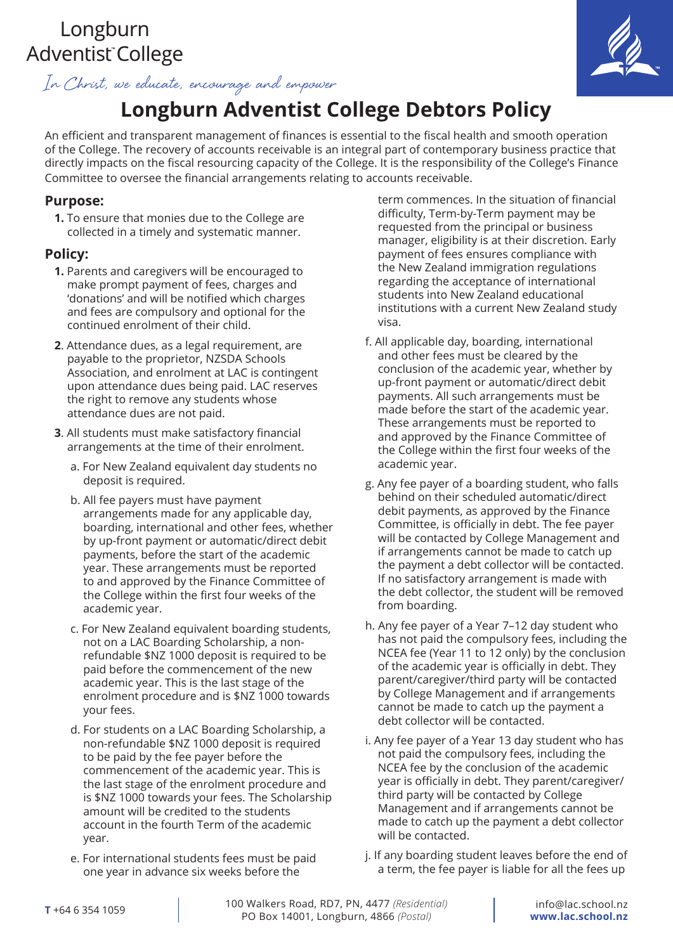# Longburn Adventist<sup>®</sup>College

In Christ, we educate, encourage and empower

# **Longburn Adventist College Debtors Policy**

An efficient and transparent management of finances is essential to the fiscal health and smooth operation of the College. The recovery of accounts receivable is an integral part of contemporary business practice that directly impacts on the fiscal resourcing capacity of the College. It is the responsibility of the College's Finance Committee to oversee the financial arrangements relating to accounts receivable.

#### **Purpose:**

**1.** To ensure that monies due to the College are collected in a timely and systematic manner.

#### **Policy:**

- **1.** Parents and caregivers will be encouraged to make prompt payment of fees, charges and 'donations' and will be notified which charges and fees are compulsory and optional for the continued enrolment of their child.
- **2**. Attendance dues, as a legal requirement, are payable to the proprietor, NZSDA Schools Association, and enrolment at LAC is contingent upon attendance dues being paid. LAC reserves the right to remove any students whose attendance dues are not paid.
- **3**. All students must make satisfactory financial arrangements at the time of their enrolment.
	- a. For New Zealand equivalent day students no deposit is required.
	- b. All fee payers must have payment arrangements made for any applicable day, boarding, international and other fees, whether by up-front payment or automatic/direct debit payments, before the start of the academic year. These arrangements must be reported to and approved by the Finance Committee of the College within the first four weeks of the academic year.
	- c. For New Zealand equivalent boarding students, not on a LAC Boarding Scholarship, a nonrefundable \$NZ 1000 deposit is required to be paid before the commencement of the new academic year. This is the last stage of the enrolment procedure and is \$NZ 1000 towards your fees.
	- d. For students on a LAC Boarding Scholarship, a non-refundable \$NZ 1000 deposit is required to be paid by the fee payer before the commencement of the academic year. This is the last stage of the enrolment procedure and is \$NZ 1000 towards your fees. The Scholarship amount will be credited to the students account in the fourth Term of the academic year.
	- e. For international students fees must be paid one year in advance six weeks before the

term commences. In the situation of financial difficulty, Term-by-Term payment may be requested from the principal or business manager, eligibility is at their discretion. Early payment of fees ensures compliance with the New Zealand immigration regulations regarding the acceptance of international students into New Zealand educational institutions with a current New Zealand study visa.

- f. All applicable day, boarding, international and other fees must be cleared by the conclusion of the academic year, whether by up-front payment or automatic/direct debit payments. All such arrangements must be made before the start of the academic year. These arrangements must be reported to and approved by the Finance Committee of the College within the first four weeks of the academic year.
- g. Any fee payer of a boarding student, who falls behind on their scheduled automatic/direct debit payments, as approved by the Finance Committee, is officially in debt. The fee payer will be contacted by College Management and if arrangements cannot be made to catch up the payment a debt collector will be contacted. If no satisfactory arrangement is made with the debt collector, the student will be removed from boarding.
- h. Any fee payer of a Year 7–12 day student who has not paid the compulsory fees, including the NCEA fee (Year 11 to 12 only) by the conclusion of the academic year is officially in debt. They parent/caregiver/third party will be contacted by College Management and if arrangements cannot be made to catch up the payment a debt collector will be contacted.
- i. Any fee payer of a Year 13 day student who has not paid the compulsory fees, including the NCEA fee by the conclusion of the academic year is officially in debt. They parent/caregiver/ third party will be contacted by College Management and if arrangements cannot be made to catch up the payment a debt collector will be contacted.
- j. If any boarding student leaves before the end of a term, the fee payer is liable for all the fees up